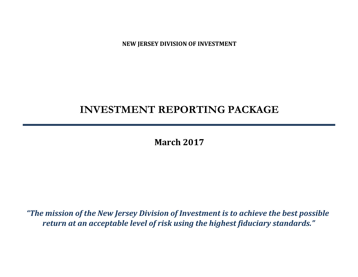**NEW JERSEY DIVISION OF INVESTMENT**

# **INVESTMENT REPORTING PACKAGE**

**March 2017**

*"The mission of the New Jersey Division of Investment is to achieve the best possible return at an acceptable level of risk using the highest fiduciary standards."*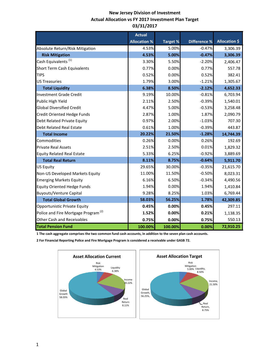### **New Jersey Division of Investment Actual Allocation vs FY 2017 Investment Plan Target 03/31/2017**

|                                                 | <b>Actual</b>       |                 |                     |                      |
|-------------------------------------------------|---------------------|-----------------|---------------------|----------------------|
|                                                 | <b>Allocation %</b> | <b>Target %</b> | <b>Difference %</b> | <b>Allocation \$</b> |
| Absolute Return/Risk Mitigation                 | 4.53%               | 5.00%           | $-0.47%$            | 3,306.39             |
| <b>Risk Mitigation</b>                          | 4.53%               | 5.00%           | $-0.47%$            | 3,306.39             |
| Cash Equivalents <sup>(1)</sup>                 | 3.30%               | 5.50%           | $-2.20%$            | 2,406.47             |
| <b>Short Term Cash Equivalents</b>              | 0.77%               | 0.00%           | 0.77%               | 557.78               |
| <b>TIPS</b>                                     | 0.52%               | 0.00%           | 0.52%               | 382.41               |
| <b>US Treasuries</b>                            | 1.79%               | 3.00%           | $-1.21%$            | 1,305.67             |
| <b>Total Liquidity</b>                          | 6.38%               | 8.50%           | $-2.12%$            | 4,652.33             |
| <b>Investment Grade Credit</b>                  | 9.19%               | 10.00%          | $-0.81%$            | 6,703.94             |
| Public High Yield                               | 2.11%               | 2.50%           | $-0.39%$            | 1,540.01             |
| <b>Global Diversified Credit</b>                | 4.47%               | 5.00%           | $-0.53%$            | 3,258.48             |
| Credit Oriented Hedge Funds                     | 2.87%               | 1.00%           | 1.87%               | 2,090.79             |
| Debt Related Private Equity                     | 0.97%               | 2.00%           | $-1.03%$            | 707.30               |
| <b>Debt Related Real Estate</b>                 | 0.61%               | 1.00%           | $-0.39%$            | 443.87               |
| <b>Total Income</b>                             | 20.22%              | 21.50%          | $-1.28%$            | 14,744.39            |
| Commodities                                     | 0.26%               | 0.00%           | 0.26%               | 192.69               |
| <b>Private Real Assets</b>                      | 2.51%               | 2.50%           | 0.01%               | 1,829.32             |
| <b>Equity Related Real Estate</b>               | 5.33%               | 6.25%           | $-0.92%$            | 3,889.69             |
| <b>Total Real Return</b>                        | 8.11%               | 8.75%           | $-0.64%$            | 5,911.70             |
| <b>US Equity</b>                                | 29.65%              | 30.00%          | $-0.35%$            | 21,615.70            |
| Non-US Developed Markets Equity                 | 11.00%              | 11.50%          | $-0.50%$            | 8,023.31             |
| <b>Emerging Markets Equity</b>                  | 6.16%               | 6.50%           | $-0.34%$            | 4,490.56             |
| <b>Equity Oriented Hedge Funds</b>              | 1.94%               | 0.00%           | 1.94%               | 1,410.84             |
| <b>Buyouts/Venture Capital</b>                  | 9.28%               | 8.25%           | 1.03%               | 6,769.44             |
| <b>Total Global Growth</b>                      | 58.03%              | 56.25%          | 1.78%               | 42,309.85            |
| Opportunistic Private Equity                    | 0.45%               | 0.00%           | 0.45%               | 297.11               |
| Police and Fire Mortgage Program <sup>(2)</sup> | 1.52%               | 0.00%           | 0.21%               | 1,138.35             |
| Other Cash and Receivables                      | 0.75%               | 0.00%           | 0.75%               | 550.13               |
| <b>Total Pension Fund</b>                       | 100.00%             | 100.00%         | 0.00%               | 72,910.25            |

**1 The cash aggregate comprises the two common fund cash accounts, in addition to the seven plan cash accounts.** 

**2 For Financial Reporting Police and Fire Mortgage Program is considered a receivable under GASB 72.**

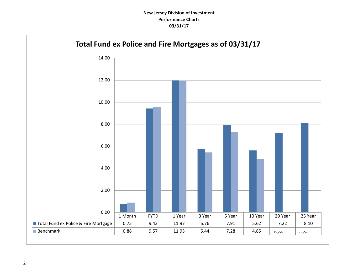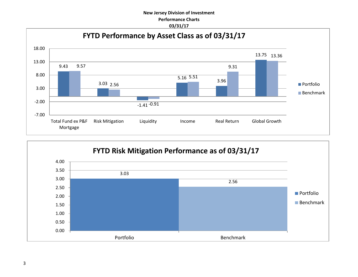### **New Jersey Division of Investment Performance Charts 03/31/17**



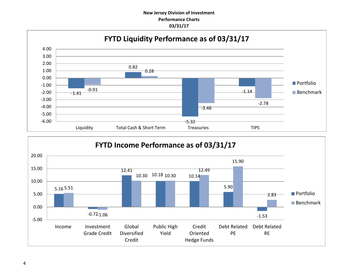### **New Jersey Division of Investment Performance Charts 03/31/17**



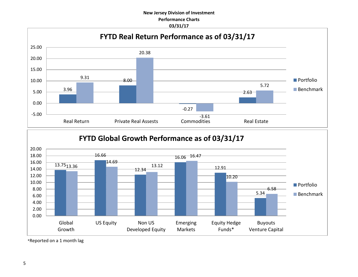### **New Jersey Division of Investment Performance Charts 03/31/17**





\*Reported on a 1 month lag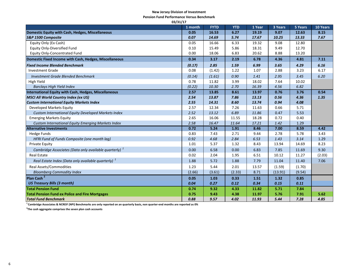#### **New Jersey Division of Investment**

**Pension Fund Performance Versus Benchmark**

| 03/31/17                                                          |         |             |            |        |         |         |          |  |  |  |
|-------------------------------------------------------------------|---------|-------------|------------|--------|---------|---------|----------|--|--|--|
|                                                                   | 1 month | <b>FYTD</b> | <b>YTD</b> | 1 Year | 3 Years | 5 Years | 10 Years |  |  |  |
| Domestic Equity with Cash, Hedges, Miscellaneous                  | 0.05    | 16.53       | 6.27       | 19.19  | 9.07    | 12.63   | 8.15     |  |  |  |
| S&P 1500 Composite                                                | 0.07    | 14.69       | 5.74       | 17.67  | 10.25   | 13.33   | 7.67     |  |  |  |
| Equity Only (Ex Cash)                                             | 0.05    | 16.66       | 6.33       | 19.32  | 9.08    | 12.80   |          |  |  |  |
| <b>Equity Only-Diversified Fund</b>                               | 0.10    | 15.49       | 5.86       | 18.31  | 9.49    | 12.70   |          |  |  |  |
| <b>Equity Only-Concentrated Fund</b>                              | 0.00    | 18.06       | 6.83       | 20.62  | 8.88    | 13.20   |          |  |  |  |
| Domestic Fixed Income with Cash, Hedges, Miscellaneous            | 0.34    | 3.17        | 2.19       | 6.78   | 4.36    | 4.81    | 7.11     |  |  |  |
| <b>Fixed Income Blended Benchmark</b>                             | (0.17)  | 2.85        | 1.59       | 6.99   | 3.65    | 4.29    | 6.16     |  |  |  |
| <b>Investment Grade</b>                                           | 0.08    | (1.42)      | 1.22       | 1.07   | 2.88    | 3.23    | 6.17     |  |  |  |
| <b>Investment Grade Blended Benchmark</b>                         | (0.14)  | (1.61)      | 0.90       | 1.41   | 2.95    | 3.45    | 6.20     |  |  |  |
| High Yield                                                        | 0.78    | 11.82       | 3.99       | 18.02  | 7.64    | 10.02   |          |  |  |  |
| <b>Barclays High Yield Index</b>                                  | (0.22)  | 10.30       | 2.70       | 16.39  | 4.56    | 6.82    |          |  |  |  |
| <b>International Equity with Cash, Hedges, Miscellaneous</b>      | 2.57    | 13.85       | 8.61       | 13.97  | 0.76    | 3.76    | 0.54     |  |  |  |
| <b>MSCI All World Country Index (ex US)</b>                       | 2.54    | 13.87       | 7.86       | 13.13  | 0.56    | 4.36    | 1.35     |  |  |  |
| <b>Custom International Equity Markets Index</b>                  | 2.55    | 14.31       | 8.60       | 13.74  | 0.94    | 4.08    |          |  |  |  |
| Developed Markets Equity                                          | 2.57    | 12.34       | 7.26       | 11.63  | 0.66    | 5.71    |          |  |  |  |
| Custom International Equity Developed Markets Index               | 2.52    | 13.12       | 6.89       | 11.86  | 0.47    | 5.53    |          |  |  |  |
| <b>Emerging Markets Equity</b>                                    | 2.65    | 16.06       | 11.55      | 18.28  | 0.72    | 0.40    |          |  |  |  |
| Custom International Equity Emerging Markets Index                | 2.58    | 16.47       | 11.64      | 17.21  | 1.42    | 1.29    |          |  |  |  |
| <b>Alternative Investments</b>                                    | 0.72    | 5.24        | 1.91       | 8.46   | 7.00    | 8.59    | 4.42     |  |  |  |
| <b>Hedge Funds</b>                                                | 0.83    | 7.43        | 2.71       | 9.44   | 2.78    | 5.78    | 3.43     |  |  |  |
| HFRI Fund of Funds Composite (one month lag)                      | 0.92    | 4.68        | 2.84       | 6.53   | 1.43    | 3.14    | 1.29     |  |  |  |
| <b>Private Equity</b>                                             | 1.01    | 5.37        | 1.32       | 8.43   | 13.94   | 14.69   | 8.23     |  |  |  |
| Cambridge Associates (Data only available quarterly) <sup>1</sup> | 0.00    | 6.58        | 0.00       | 6.83   | 7.85    | 11.69   | 9.30     |  |  |  |
| <b>Real Estate</b>                                                | 0.02    | 2.04        | 1.95       | 6.51   | 10.12   | 11.27   | (2.03)   |  |  |  |
| Real Estate Index (Data only available quarterly) <sup>1</sup>    | 1.88    | 5.72        | 1.88       | 7.79   | 11.04   | 11.40   | 7.06     |  |  |  |
| <b>Real Assets/Commodities</b>                                    | 1.23    | 5.44        | 2.01       | 13.57  | (1.59)  | (1.70)  |          |  |  |  |
| <b>Bloomberg Commodity Index</b>                                  | (2.66)  | (3.61)      | (2.33)     | 8.71   | (13.91) | (9.54)  |          |  |  |  |
| Plan Cash <sup>2</sup>                                            | 0.05    | 1.03        | 0.33       | 1.51   | 1.32    | 0.85    |          |  |  |  |
| <b>US Treasury Bills (3 month)</b>                                | 0.04    | 0.27        | 0.12       | 0.34   | 0.15    | 0.11    |          |  |  |  |
| <b>Total Pension Fund</b>                                         | 0.74    | 9.32        | 4.33       | 11.82  | 5.71    | 7.84    |          |  |  |  |
| <b>Total Pension Fund ex Police and Fire Mortgages</b>            | 0.75    | 9.43        | 4.38       | 11.97  | 5.76    | 7.91    | 5.62     |  |  |  |
| <b>Total Fund Benchmark</b>                                       | 0.88    | 9.57        | 4.02       | 11.93  | 5.44    | 7.28    | 4.85     |  |  |  |

**<sup>1</sup>Cambridge Associates & NCREIF (NPI) Benchmarks are only reported on an quarterly basis, non quarter-end months are reported as 0%**

**2 The cash aggregate comprises the seven plan cash accounts**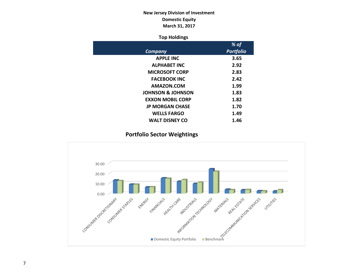### **New Jersey Division of Investment Domestic Equity March 31, 2017**

### **Top Holdings**

|                              | % of             |
|------------------------------|------------------|
| Company                      | <b>Portfolio</b> |
| <b>APPLE INC</b>             | 3.65             |
| <b>ALPHABET INC</b>          | 2.92             |
| <b>MICROSOFT CORP</b>        | 2.83             |
| <b>FACEBOOK INC</b>          | 2.42             |
| AMAZON.COM                   | 1.99             |
| <b>JOHNSON &amp; JOHNSON</b> | 1.83             |
| <b>EXXON MOBIL CORP</b>      | 1.82             |
| <b>JP MORGAN CHASE</b>       | 1.70             |
| <b>WELLS FARGO</b>           | 1.49             |
| <b>WALT DISNEY CO</b>        | 1.46             |

### **Portfolio Sector Weightings**

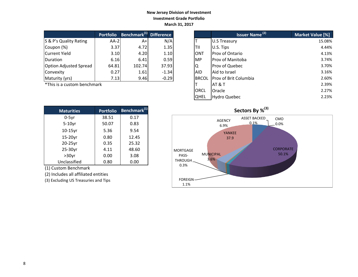### **New Jersey Division of Investment Investment Grade Portfolio March 31, 2017**

|                               | <b>Portfolio</b> | Benchmark <sup>(1)</sup> | <b>Difference</b> |
|-------------------------------|------------------|--------------------------|-------------------|
| S & P's Quality Rating        | $AA-2$           | A+                       | N/A               |
| Coupon (%)                    | 3.37             | 4.72                     | 1.35              |
| <b>Current Yield</b>          | 3.10             | 4.20                     | 1.10              |
| Duration                      | 6.16             | 6.41                     | 0.59              |
| <b>Option Adjusted Spread</b> | 64.81            | 102.74                   | 37.93             |
| Convexity                     | 0.27             | 1.61                     | $-1.34$           |
| Maturity (yrs)                | 7.13             | 9.46                     | $-0.29$           |

| <b>Maturities</b> | <b>Portfolio</b> | Benchmark <sup>(1)</sup> |
|-------------------|------------------|--------------------------|
| $0-5$ yr          | 38.51            | 0.17                     |
| $5-10$ yr         | 50.07            | 0.83                     |
| 10-15yr           | 5.36             | 9.54                     |
| 15-20yr           | 0.80             | 12.45                    |
| 20-25yr           | 0.35             | 25.32                    |
| 25-30yr           | 4.11             | 48.60                    |
| $>30$ yr          | 0.00             | 3.08                     |
| Unclassified      | 0.80             | 0.00                     |

(1) Custom Benchmark

(2) Includes all affiliated entities

(3) Excluding US Treasuries and Tips

|                             | <b>Portfolio</b> | Benchmark <sup>(1)</sup> Difference |         |              | <b>Issuer Name</b> <sup>(2)</sup> | Market Value [%] |
|-----------------------------|------------------|-------------------------------------|---------|--------------|-----------------------------------|------------------|
| S & P's Quality Rating      | $AA-2$           | $A+$                                | N/A     |              | <b>U.S Treasury</b>               | 15.08%           |
| Coupon (%)                  | 3.37             | 4.72                                | 1.35    | ltii         | U.S. Tips                         | 4.44%            |
| Current Yield               | 3.10             | 4.20                                | 1.10    | IONT         | <b>Prov of Ontario</b>            | 4.13%            |
| <b>Duration</b>             | 6.16             | 6.41                                | 0.59    | <b>MP</b>    | <b>Prov of Manitoba</b>           | 3.74%            |
| Option Adjusted Spread      | 64.81            | 102.74                              | 37.93   | IQ           | Prov of Quebec                    | 3.70%            |
| Convexity                   | 0.27             | 1.61                                | $-1.34$ | <b>AID</b>   | Aid to Israel                     | 3.16%            |
| Maturity (yrs)              | 7.13             | 9.46                                | $-0.29$ | <b>BRCOL</b> | <b>IProv of Brit Columbia</b>     | 2.60%            |
| *This is a custom benchmark |                  |                                     |         |              | IAT & T                           | 2.39%            |
|                             |                  |                                     |         | <b>ORCL</b>  | <b>Oracle</b>                     | 2.27%            |
|                             |                  |                                     |         | <b>QHEL</b>  | Hydro Quebec                      | 2.23%            |

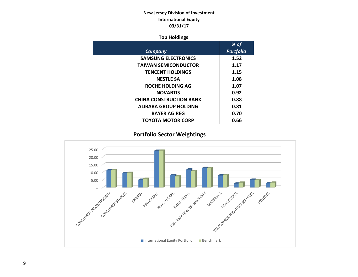### **New Jersey Division of Investment International Equity 03/31/17**

### **Top Holdings**

|                                | % of             |
|--------------------------------|------------------|
| Company                        | <b>Portfolio</b> |
| <b>SAMSUNG ELECTRONICS</b>     | 1.52             |
| <b>TAIWAN SEMICONDUCTOR</b>    | 1.17             |
| <b>TENCENT HOLDINGS</b>        | 1.15             |
| <b>NESTLE SA</b>               | 1.08             |
| <b>ROCHE HOLDING AG</b>        | 1.07             |
| <b>NOVARTIS</b>                | 0.92             |
| <b>CHINA CONSTRUCTION BANK</b> | 0.88             |
| <b>ALIBABA GROUP HOLDING</b>   | 0.81             |
| <b>BAYER AG REG</b>            | 0.70             |
| <b>TOYOTA MOTOR CORP</b>       | 0.66             |

 **Portfolio Sector Weightings**

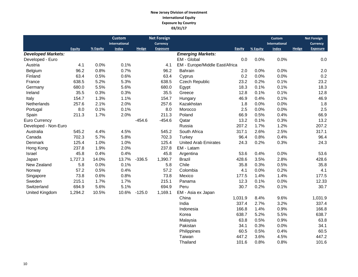#### **New Jersey Division of Investment International Equity Exposure by Country 03/31/17**

|                           |               |          | <b>Custom</b> |              | <b>Net Foreign</b> |                                |               |          | <b>Custom</b>        |                 | <b>Net Foreign</b> |
|---------------------------|---------------|----------|---------------|--------------|--------------------|--------------------------------|---------------|----------|----------------------|-----------------|--------------------|
|                           |               |          | International |              | <b>Currency</b>    |                                |               |          | <b>International</b> | <b>Currency</b> |                    |
|                           | <b>Equity</b> | % Equity | <b>Index</b>  | <b>Hedge</b> | <b>Exposure</b>    |                                | <b>Equity</b> | % Equity | <b>Index</b>         | <b>Hedge</b>    | <b>Exposure</b>    |
| <b>Developed Markets:</b> |               |          |               |              |                    | <b>Emerging Markets:</b>       |               |          |                      |                 |                    |
| Developed - Euro          |               |          |               |              |                    | EM - Global                    | 0.0           | 0.0%     | 0.0%                 |                 | 0.0                |
| Austria                   | 4.1           | 0.0%     | 0.1%          |              | 4.1                | EM - Europe/Middle East/Africa |               |          |                      |                 |                    |
| Belgium                   | 96.2          | 0.8%     | 0.7%          |              | 96.2               | Bahrain                        | 2.0           | 0.0%     | 0.0%                 |                 | 2.0                |
| Finland                   | 63.4          | 0.5%     | 0.6%          |              | 63.4               | Cyprus                         | 0.2           | 0.0%     | 0.0%                 |                 | 0.2                |
| France                    | 638.5         | 5.2%     | 5.3%          |              | 638.5              | Czech Republic                 | 23.2          | 0.2%     | 0.1%                 |                 | 23.2               |
| Germany                   | 680.0         | 5.5%     | 5.6%          |              | 680.0              | Egypt                          | 18.3          | 0.1%     | 0.1%                 |                 | 18.3               |
| Ireland                   | 35.5          | 0.3%     | 0.3%          |              | 35.5               | Greece                         | 12.8          | 0.1%     | 0.1%                 |                 | 12.8               |
| Italy                     | 154.7         | 1.3%     | 1.1%          |              | 154.7              | Hungary                        | 46.9          | 0.4%     | 0.1%                 |                 | 46.9               |
| Netherlands               | 257.6         | 2.1%     | 2.0%          |              | 257.6              | Kazakhstan                     | 1.8           | 0.0%     | 0.0%                 |                 | 1.8                |
| Portugal                  | 8.0           | 0.1%     | 0.1%          |              | 8.0                | Morocco                        | 2.5           | 0.0%     | 0.0%                 |                 | 2.5                |
| Spain                     | 211.3         | 1.7%     | 2.0%          |              | 211.3              | Poland                         | 66.9          | 0.5%     | 0.4%                 |                 | 66.9               |
| Euro Currency             |               |          |               | $-454.6$     | $-454.6$           | Qatar                          | 13.2          | 0.1%     | 0.3%                 |                 | 13.2               |
| Developed - Non-Euro      |               |          |               |              |                    | Russia                         | 207.2         | 1.7%     | 1.2%                 |                 | 207.2              |
| Australia                 | 545.2         | 4.4%     | 4.5%          |              | 545.2              | South Africa                   | 317.1         | 2.6%     | 2.5%                 |                 | 317.1              |
| Canada                    | 702.3         | 5.7%     | 5.8%          |              | 702.3              | Turkey                         | 96.4          | 0.8%     | 0.4%                 |                 | 96.4               |
| Denmark                   | 125.4         | 1.0%     | 1.0%          |              | 125.4              | <b>United Arab Emirates</b>    | 24.3          | 0.2%     | 0.3%                 |                 | 24.3               |
| Hong Kong                 | 237.8         | 1.9%     | 2.0%          |              | 237.8              | EM - Latam                     |               |          |                      |                 |                    |
| Israel                    | 45.8          | 0.4%     | 0.4%          |              | 45.8               | Argentina                      | 53.6          | 0.4%     | 0.0%                 |                 | 53.6               |
| Japan                     | 1,727.3       | 14.0%    | 13.7%         | $-336.5$     | 1,390.7            | <b>Brazil</b>                  | 428.6         | 3.5%     | 2.8%                 |                 | 428.6              |
| New Zealand               | 5.8           | 0.0%     | 0.1%          |              | 5.8                | Chile                          | 35.8          | 0.3%     | 0.5%                 |                 | 35.8               |
| Norway                    | 57.2          | 0.5%     | 0.4%          |              | 57.2               | Colombia                       | 4.1           | 0.0%     | 0.2%                 |                 | 4.1                |
| Singapore                 | 73.8          | 0.6%     | 0.8%          |              | 73.8               | Mexico                         | 177.5         | 1.4%     | 1.4%                 |                 | 177.5              |
| Sweden                    | 215.1         | 1.7%     | 1.7%          |              | 215.1              | Panama                         | 12.3          | 0.1%     | 0.0%                 |                 | 12.33              |
| Switzerland               | 694.9         | 5.6%     | 5.1%          |              | 694.9              | Peru                           | 30.7          | 0.2%     | 0.1%                 |                 | 30.7               |
| United Kingdom            | 1,294.2       | 10.5%    | 10.6%         | $-125.0$     | 1,169.1            | EM - Asia ex Japan             |               |          |                      |                 |                    |
|                           |               |          |               |              |                    | China                          | 1,031.9       | 8.4%     | 9.6%                 |                 | 1,031.9            |
|                           |               |          |               |              |                    | India                          | 337.4         | 2.7%     | 3.2%                 |                 | 337.4              |
|                           |               |          |               |              |                    | Indonesia                      | 166.8         | 1.4%     | 0.9%                 |                 | 166.8              |
|                           |               |          |               |              |                    | Korea                          | 638.7         | 5.2%     | 5.5%                 |                 | 638.7              |

 Malaysia 63.8 0.5% 0.9% 63.8 Pakistan 34.1 0.3% 0.0% 34.1<br>Philippines 60.5 0.5% 0.4% 60.5

 Taiwan 447.2 3.6% 4.5% 447.2 Thailand 101.6 0.8% 0.8% 101.6

Philippines 60.5 0.5% 0.4%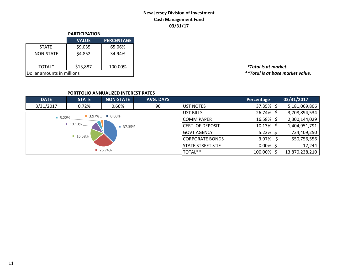### **New Jersey Division of Investment Cash Management Fund 03/31/17**

|                            | <b>PARTICIPATION</b> |                   |  |  |  |  |  |
|----------------------------|----------------------|-------------------|--|--|--|--|--|
|                            | <b>VALUE</b>         | <b>PERCENTAGE</b> |  |  |  |  |  |
| <b>STATE</b>               | \$9,035              | 65.06%            |  |  |  |  |  |
| <b>NON-STATE</b>           | \$4,852              | 34.94%            |  |  |  |  |  |
| TOTAL*                     | \$13,887             | 100.00%           |  |  |  |  |  |
| Dollar amounts in millions |                      |                   |  |  |  |  |  |

TOTAL\* \$13,887 100.00% *\*Total is at market.*  $*$ \*Total is at base market value.

### **PORTFOLIO ANNUALIZED INTEREST RATES**

| <b>DATE</b>          | <b>STATE</b>                        | <b>NON-STATE</b>     | <b>AVG. DAYS</b> |                          | Percentage   | 03/31/2017     |
|----------------------|-------------------------------------|----------------------|------------------|--------------------------|--------------|----------------|
| 3/31/2017            | 0.72%                               | 0.66%                | 90               | UST NOTES                | 37.35%       | 5,181,069,806  |
|                      |                                     |                      |                  | <b>UST BILLS</b>         | $26.74\%$ \$ | 3,708,894,534  |
| $\blacksquare$ 5.22% | $\blacksquare$ 3.97% $\blacksquare$ | $\blacksquare$ 0.00% |                  | <b>COMM PAPER</b>        | 16.58%       | 2,300,144,029  |
|                      | 10.13%                              | ■ 37.35%             |                  | <b>CERT. OF DEPOSIT</b>  | 10.13%       | 1,404,951,791  |
|                      |                                     |                      |                  | GOVT AGENCY              | $5.22\%$ \$  | 724,409,250    |
|                      | 16.58%                              |                      |                  | <b>CORPORATE BONDS</b>   | 3.97%        | 550,756,556    |
|                      |                                     |                      |                  | <b>STATE STREET STIF</b> | $0.00\%$     | 12,244         |
|                      |                                     | 26.74%               |                  | TOTAL**                  | 100.00%      | 13,870,238,210 |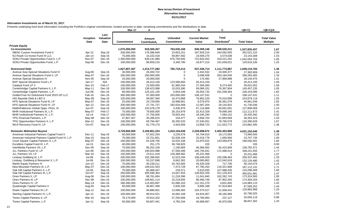#### **Alternative Investments as of March 31, 2017**

Presents underlying fund level information including the Portfolio's original commitments, funded amounts to date, remaining commitments and the distributions to date.

|                                                    |                   |                           | Mar-17            | А                                  |                                      | в                              | C                                        | $=(B+C)$           | $=(B+C)/A$                            |
|----------------------------------------------------|-------------------|---------------------------|-------------------|------------------------------------|--------------------------------------|--------------------------------|------------------------------------------|--------------------|---------------------------------------|
|                                                    | Inception<br>Date | Last<br>Valuation<br>Date | <b>Commitment</b> | Amount<br>Contributed <sub>1</sub> | <b>Unfunded</b><br><b>Commitment</b> | <b>Current Market</b><br>Value | <b>Total</b><br>Distributed <sup>2</sup> | <b>Total Value</b> | <b>Total Value</b><br><b>Multiple</b> |
| <b>Private Equity</b>                              |                   |                           |                   |                                    |                                      |                                |                                          |                    |                                       |
| <b>Co-Investments</b>                              |                   |                           | 1,675,000,000     | 918,300,457                        | 763,635,168                          | 949,309,146                    | 588,526,311                              | 1,537,835,457      | 1.67                                  |
| NB/NJ Custom Investment Fund II                    | Apr-12            | Sep-16                    | 200,000,000       | 176,396,849                        | 23,603,151                           | 187,929,210                    | 164,092,000                              | 352,021,210        | 2.00                                  |
| NJ Roark Co-Invest Fund III LLC                    | Jan-14            | Sep-16                    | 75,000,000        | 15,102,418                         | 59,897,582                           | 19,569,270                     | 3,574,038                                | 23,143,308         | 1.53                                  |
| SONJ Private Opportunities Fund II, L.P.           | Nov-07            | Dec-16                    | 1,300,000,000     | 630,141,980                        | 676,793,645                          | 722,833,452                    | 319,221,252                              | 1,042,054,704      | 1.65                                  |
| SONJ Private Opportunities Fund, L.P.              | Sep-06            | Dec-16                    | 100,000,000       | 96,659,210                         | 3,340,790                            | 18,977,215                     | 101,639,021                              | 120,616,236        | 1.25                                  |
| <b>Distressed Debt</b>                             |                   |                           | 1,827,807,307     | 1,214,777,282                      | 782,718,213                          | 537,336,714                    | 1,111,773,987                            | 1,649,110,702      | 1.36                                  |
| Avenue Asia Special Situations Fund IV             | Aug-06            | Sep-16                    | 30,000,000        | 26,283,722                         | $\Omega$                             | 2,442,532                      | 24,940,377                               | 27,382,909         | 1.04                                  |
| Avenue Special Situations Fund V, LP               | May-07            | Dec-16                    | 200,000,000       | 200,000,000                        | $\boldsymbol{0}$                     | 3,098,938                      | 263,184,545                              | 266,283,483        | 1.33                                  |
| <b>Avenue Special Situations IV</b>                | Nov-05            | Sep-16                    | 20,000,000        | 20,000,000                         | $\Omega$                             | 170,482                        | 27,969,988                               | 28,140,470         | 1.41                                  |
| BSP Special Situations Fund L.P.                   | $Jan-17$          | N/A                       | 150,000,000       | 26,413,150                         | 123,586,850                          | 26,413,150                     | $\Omega$                                 | 26,413,150         | 1.00                                  |
| Catalyst Fund LP V                                 | <b>Nov-15</b>     | Feb-17                    | 100,000,000       | 22,500,000                         | 81,900,034                           | 27,356,560                     | 8,274,492                                | 35,631,052         | 1.58                                  |
| Centerbridge Capital Partners II, L.P.             | May-11            | Dec-16                    | 100,000,000       | 138,423,088                        | 15,033,380                           | 69,089,331                     | 76,367,904                               | 145, 457, 235      | 1.05                                  |
| Centerbridge Capital Partners, L.P.                | Jun-06            | Dec-16                    | 80,000,000        | 125, 101, 145                      | 5,843,348                            | 26,554,732                     | 201,548,364                              | 228,103,096        | 1.82                                  |
| GoldenTree NJ Distressed Fund 2015 GP LLC          | Feb-16            | Dec-16                    | 300,000,000       | 97,000,000                         | 203,000,000                          | 108,147,531                    | $\Omega$                                 | 108,147,531        | 1.11                                  |
| HIG Bayside Debt & LBO II                          | May-08            | Sep-16                    | 100,000,000       | 99,097,364                         | 16,473,868                           | 78,862,220                     | 75,016,899                               | 153,879,119        | 1.55                                  |
| KPS Special Situations Fund III, LP                | May-07            | Dec-16                    | 25,000,000        | 24,729,656                         | 10,998,661                           | 8,579,970                      | 36,381,079                               | 44,961,049         | 1.82                                  |
| KPS Special Situations Fund IV, LP                 | Apr-13            | Dec-16                    | 200,000,000       | 27,741,727                         | 182,634,008                          | 12,587,204                     | 29,142,832                               | 41,730,036         | 1.50                                  |
| MatlinPatterson Global Opps. Ptnrs. III            | Jun-07            | Sep-16                    | 100,000,000       | 103,378,178                        | 4,336,976                            | 67,116,968                     | 60,691,091                               | 127,808,059        | 1.24                                  |
| MHR Institutional Partners III, L.P.               | May-07            | Feb-17                    | 75,000,000        | 79,500,000                         | 26,153,979                           | 32,413,328                     | 79,698,345                               | 112,111,673        | 1.41                                  |
| MHR Institutional Partners IV, L.P.                | $Jul-14$          | Feb-17                    | 100,000,000       | 27,750,000                         | 79,003,441                           | 18,345,240                     | 7,090,152                                | 25,435,392         | 0.92                                  |
| TPG Financial Partners, L.P.                       | May-08            | Dec-16                    | 47,807,307        | 35,285,615                         | 104,477                              | 4,669,754                      | 31,683,569                               | 36,353,323         | 1.03                                  |
| TPG Opportunities Partners II, L.P.                | Mar-12            | Dec-16                    | 100,000,000       | 69,794,467                         | 30,205,533                           | 37,630,051                     | 78,760,578                               | 116,390,629        | 1.67                                  |
| WLR Recovery Fund IV, LP                           | Oct-07            | Sep-16                    | 100,000,000       | 91,779,170                         | 3,443,659                            | 13,858,723                     | 111,023,772                              | 124,882,495        | 1.36                                  |
| <b>Domestic Midmarket Buyout</b>                   |                   |                           | 3,729,660,000     | 3,108,961,224                      | 1,010,104,638                        | 2,228,698,072                  | 2,402,453,968                            | 4,631,152,040      | 1.49                                  |
| American Industrial Partners Capital Fund V        | Dec-11            | Sep-16                    | 50,000,000        | 57,922,293                         | 3,226,578                            | 54,794,010                     | 19,172,083                               | 73,966,093         | 1.28                                  |
| American Industrial Partners Capital Fund VI, L.P. | Sep-15            | Sep-16                    | 75,000,000        | 23,751,851                         | 52,939,104                           | 22,016,779                     | 1,690,956                                | 23,707,735         | 1.00                                  |
| Court Square Capital Partners II, L.P.             | May-07            | Dec-16                    | 100,000,000       | 91,528,705                         | 10,025,168                           | 24,970,522                     | 143,569,879                              | 168,540,401        | 1.84                                  |
| Excellere Capital Fund III, L.P.                   | $Jul-15$          | Dec-16                    | 40,000,000        | 251,175                            | 39,748,825                           | 155                            | $\mathbf 0$                              | 155                | 0.00                                  |
| InterMedia Partners VII, L.P.                      | $Dec-05$          | Sep-16                    | 75,000,000        | 96,252,158                         | 1,190,669                            | 46,366,562                     | 92,415,909                               | 138,782,471        | 1.44                                  |
| JLL Partners Fund VI, LP                           | <b>Jun-08</b>     | Dec-16                    | 150,000,000       | 190,924,988                        | 27,556,499                           | 165,745,041                    | 172,486,514                              | 338,231,555        | 1.77                                  |
| JLL Partners VII, LP                               | Mar-16            | Dec-16                    | 150,000,000       | 23,511,418                         | 126,488,582                          | 25,231,466                     | $\Omega$                                 | 25,231,466         | 1.07                                  |
| Lindsay Goldberg III, L.P.                         | Jul-08            | Dec-16                    | 200,000,000       | 192,289,692                        | 12,523,294                           | 106,049,029                    | 150,288,463                              | 256,337,492        | 1.33                                  |
| Lindsay, Goldberg & Bessemer II, L.P.              | Jul-06            | Dec-16                    | 100,000,000       | 93,157,698                         | 6,842,302                            | 20,083,862                     | 112,042,618                              | 132,126,480        | 1.42                                  |
| Marlin Equity Partners IV                          | $Jun-13$          | Dec-16                    | 75,000,000        | 40,239,211                         | 34,763,583                           | 45,426,328                     | 717,746                                  | 46,144,074         | 1.15                                  |
| New Mountain Partners III, L.P.                    | May-07            | Dec-16                    | 100,000,000       | 109,431,553                        | 7,473,728                            | 67,790,163                     | 119,321,968                              | 187, 112, 131      | 1.71                                  |
| Oak Hill Capital Partners II, L.P.                 | Jul-05            | Sep-16                    | 75,000,000        | 83,468,447                         | 233,571                              | 5,610,035                      | 127,688,435                              | 133,298,469        | 1.60                                  |
| Oak Hill Capital Partners III, L.P.                | Oct-07            | Sep-16                    | 250,000,000       | 305,590,363                        | 13,647,453                           | 139,502,259                    | 311,129,422                              | 450,631,681        | 1.47                                  |
| Onex Partners II, LP                               | Aug-06            | Dec-16                    | 100,000,000       | 88,781,604                         | 11,218,396                           | 11,041,840                     | 162,282,743                              | 173,324,583        | 1.95                                  |
| Onex Partners III, LP                              | Dec-08            | Dec-16                    | 100,000,000       | 108,661,114                        | 10,218,605                           | 86,466,749                     | 87,902,455                               | 174,369,204        | 1.60                                  |
| Onex Partners IV, LP                               | May-14            | Dec-16                    | 166,490,000       | 114,403,897                        | 52,086,103                           | 112,151,270                    | 4,831,845                                | 116,983,115        | 1.02                                  |
| Quadrangle Capital Partners II                     | Aug-05            | Sep-16                    | 50,000,000        | 46,867,499                         | 2,830,335                            | 9,685,188                      | 57,914,063                               | 67,599,252         | 1.44                                  |
| Roark Capital Partners III L.P.                    | Sep-12            | Dec-16                    | 100,000,000       | 94,886,601                         | 13,588,383                           | 104,375,527                    | 21,508,441                               | 125,883,968        | 1.33                                  |
| Sterling Capital Partners IV, L.P.                 | Apr-12            | Dec-16                    | 100,000,000       | 89,914,521                         | 16,082,168                           | 64,624,057                     | 28,165,968                               | 92,790,025         | 1.03                                  |
| Tenex Capital Partners II, LP                      | Mar-16            | Sep-16                    | 78,170,000        | 20,914,332                         | 57,255,668                           | 19,766,993                     | 237,127                                  | 20,004,119         | 0.96                                  |
| Tenex Capital Partners, L.P.                       | Jan-11            |                           | 50,000,000        | 60,607,441                         | 4,765,334                            | 40,686,667                     | 45,970,595                               | 86,657,262         | 1.43                                  |
|                                                    |                   | Sep-16                    |                   |                                    |                                      |                                |                                          |                    |                                       |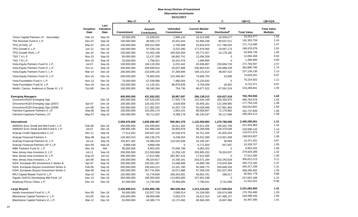|                                          |                   |                                  | Mar-17            | A                                  |                                      | B                              | C                                        | $=(B+C)$           | $=(B+C)/A$                            |
|------------------------------------------|-------------------|----------------------------------|-------------------|------------------------------------|--------------------------------------|--------------------------------|------------------------------------------|--------------------|---------------------------------------|
|                                          | Inception<br>Date | Last<br>Valuation<br><b>Date</b> | <b>Commitment</b> | Amount<br>Contributed <sub>1</sub> | <b>Unfunded</b><br><b>Commitment</b> | <b>Current Market</b><br>Value | <b>Total</b><br>Distributed <sup>2</sup> | <b>Total Value</b> | <b>Total Value</b><br><b>Multiple</b> |
| Tenex Capital Partners LP - Secondary    | Feb-13            | Sep-16                           | 20,000,000        | 21,938,921                         | 1,906,134                            | 16,313,699                     | 16,939,577                               | 33,253,277         | 1.52                                  |
| The Resolute Fund II, L.P.               | Dec-07            | Sep-16                           | 100,000,000       | 99,585,172                         | 10,441,643                           | 52,666,248                     | 89,637,511                               | 142,303,759        | 1.43                                  |
| TPG [STAR], LP                           | Mar-07            | Dec-16                           | 100,000,000       | 109,312,969                        | 2,756,568                            | 53,924,970                     | 117,788,525                              | 171,713,495        | 1.57                                  |
| TPG Growth II, L.P.                      | Jun-12            | Dec-16                           | 100,000,000       | 97,539,126                         | 9,222,390                            | 177,878,905                    | 19,097,173                               | 196,976,078        | 2.02                                  |
| TPG Growth III(A), L.P.                  | Jan-15            | Dec-16                           | 150,000,000       | 51,453,108                         | 105,926,358                          | 43,771,557                     | 10,178,182                               | 53,949,739         | 1.05                                  |
| TSG 7 A L.P.                             | <b>Nov-15</b>     | Sep-16                           | 80,000,000        | 13,137,259                         | 66,862,741                           | 12,094,358                     | $\Omega$                                 | 12,094,358         | 0.92                                  |
| TSG 7 B L.P.                             | <b>Nov-15</b>     | Sep-16                           | 20,000,000        | 1,758,421                          | 18,241,579                           | 1,490,695                      | $\mathbf 0$                              | 1,490,695          | 0.85                                  |
| Vista Equity Partners Fund III, L.P.     | $Jul-07$          | Sep-16                           | 100,000,000       | 106,119,294                        | 6,231,642                            | 45,936,867                     | 226,846,730                              | 272,783,597        | 2.57                                  |
| Vista Equity Partners Fund IV, L.P.      | Oct-11            | Sep-16                           | 200,000,000       | 209,599,914                        | 26,037,898                           | 236,892,542                    | 126,988,238                              | 363,880,780        | 1.74                                  |
| Vista Equity Partners Fund V, L.P.       | Mar-14            | Dec-16                           | 200,000,000       | 210,649,125                        | 37,284,689                           | 189,131,614                    | 48,007,522                               | 237, 139, 136      | 1.13                                  |
| Vista Equity Partners Fund VI, L.P.      | <b>Nov-16</b>     | Dec-16                           | 200,000,000       | 76,605,933                         | 123,394,067                          | 74,605,752                     | 23,599                                   | 74,629,351         | 0.97                                  |
| Vista Foundation Fund II, L.P.           | <b>Nov-13</b>     | Dec-16                           | 75,000,000        | 67,539,996                         | 7,460,004                            | 75,224,832                     | $\Omega$                                 | 75,224,832         | 1.11                                  |
| Vista Foundation Fund III, L.P.          | Nov-16            | Dec-16                           | 100,000,000       | 11,120,161                         | 88,879,839                           | 9,704,009                      | 18,362                                   | 9,722,371          | 0.87                                  |
| Welsh, Carson, Anderson & Stowe XI, L.P. | Oct-08            | Dec-16                           | 100,000,000       | 99,245,264                         | 754,736                              | 66,677,522                     | 87,591,319                               | 154,268,841        | 1.55                                  |
| <b>Emerging Managers</b>                 |                   |                                  | 400,000,000       | 431,592,022                        | 28,867,097                           | 286,138,512                    | 416,627,418                              | 702,765,930        | 1.63                                  |
| Grosvenor/NJDI Emerging Opp              |                   | Dec-16                           | 200,000,000       | 237,525,026                        | 17,925,778                           | 110,434,109                    | 250,330,870                              | 360,764,979        | 1.52                                  |
| Grosvenor/NJDI Emerging Opp (2007)       | Apr-07            | Dec-16                           | 100,000,000       | 120, 162, 974                      | 3,628,059                            | 55,405,161                     | 122,348,965                              | 177,754,126        | 1.48                                  |
| Grosvenor/NJDI Emerging Opp (2008)       | <b>Jun-08</b>     | Dec-16                           | 100.000.000       | 117.362.052                        | 14.297.719                           | 55.028.948                     | 127.981.904                              | 183,010,852        | 1.56                                  |
| Fairview Capstone Partners II, LP        | Sep-08            | Sep-16                           | 100,000,000       | 103,355,174                        | 1,653,141                            | 89,558,857                     | 72,178,982                               | 161,737,839        | 1.56                                  |
| Fairview Capstone Partners, LP           | May-07            | Sep-16                           | 100,000,000       | 90,711,822                         | 9,288,178                            | 86,145,547                     | 94,117,566                               | 180,263,113        | 1.99                                  |
| International                            |                   |                                  | 2,569,476,508     | 1,839,299,457                      | 906,961,478                          | 1,125,509,993                  | 1,279,786,058                            | 2,405,296,051      | 1.31                                  |
| AIMS/NJ Euro Small and Mid Fund I. L.P.  | Feb-06            | Dec-16                           | 200.000.000       | 191.949.852                        | 16.011.352                           | 25.911.255                     | 196.022.709                              | 221,933,964        | 1.16                                  |
| AIMS/NJ Euro Small and Mid Fund II, L.P. | <b>Jul-07</b>     | Dec-16                           | 198,685,436       | 191,988,249                        | 26,855,878                           | 90,208,596                     | 128,379,546                              | 218,588,143        | 1.14                                  |
| Anacap Credit Opportunities II, LP       | Dec-11            | Sep-16                           | 77,513,262        | 105,837,152                        | 16,538,475                           | 34,751,420                     | 81,820,254                               | 116,571,674        | 1.10                                  |
| Anacap Financial Partners II             | May-08            | Sep-16                           | 126,482,010       | 183, 136, 276                      | 9,238,054                            | 84,631,599                     | 113,921,458                              | 198,553,057        | 1.08                                  |
| AnaCap Financial Partners III, L.P.      | $Jul-14$          | Sep-16                           | 134,927,362       | 24,385,324                         | 110,542,038                          | 16,335,347                     | 36,084                                   | 16,371,431         | 0.67                                  |
| Anacap Financial Partners GP II, LP      | Nov-09            | Sep-16                           | 9,868,438         | 9,868,438                          | $\mathbf 0$                          | 9,771,820                      | 557,937                                  | 10,329,757         | 1.05                                  |
| MBK Partners Fund IV, L.P.               | Dec-16            | N/A                              | 85,000,000        | 9,953,202                          | 75,046,798                           | 9,953,202                      | $\mathbf 0$                              | 9,953,202          | 1.00                                  |
| New Jersey Asia Investors II, L.P.       | $Jul-11$          | Sep-16                           | 200,000,000       | 212,593,869                        | 12,259,132                           | 203,905,252                    | 76,024,037                               | 279,929,289        | 1.32                                  |
| New Jersey Asia Investors III, L.P.      | Aug-16            | Jun-16                           | 300,000,000       | 17,612,585                         | 282,387,415                          | 17,612,585                     | $\mathbf 0$                              | 17,612,585         | 1.00                                  |
| New Jersey Asia Investors, L.P.          | Jan-08            | Sep-16                           | 100,000,000       | 98,324,817                         | 14,330,191                           | 203,571,284                    | 102,240,929                              | 305,812,213        | 3.11                                  |
| NJHL European BO Investment II Series B  | Apr-07            | Sep-16                           | 200,000,000       | 150,591,207                        | 13,589,698                           | 34,895,788                     | 170,878,394                              | 205,774,182        | 1.37                                  |
| NJHL European Buyout Investment Series A | Feb-06            | Sep-16                           | 200,000,000       | 195,443,212                        | 13,101,780                           | 50,568,772                     | 204,848,333                              | 255,417,106        | 1.31                                  |
| NJHL European Buyout Investment Series C | Mar-08            | Sep-16                           | 200,000,000       | 207,741,604                        | 16,071,986                           | 67,258,103                     | 201,027,359                              | 268,285,462        | 1.29                                  |
| RRJ Capital Master Fund III, L.P.        | Sep-15            | Dec-16                           | 150,000,000       | 41,778,669                         | 108,342,681                          | 40,653,761                     | 288,017                                  | 40,941,778         | 0.98                                  |
| Siguler Guff NJ Developing Mkt Fund, LP  | $Dec-13$          | Dec-16                           | 300,000,000       | 186,350,000                        | 113,650,000                          | 227,691,188                    | $\mathbf 0$                              | 227,691,188        | 1.22                                  |
| Warburg Pincus China, L.P.               | Dec-16            | Dec-16                           | 87,000,000        | 11,745,000                         | 78,996,000                           | 7,790,021                      | 3,741,000                                | 11,531,021         | 0.98                                  |
| Large Buyout                             |                   |                                  | 2,425,690,013     | 2,354,866,186                      | 460,549,464                          | 1,213,134,441                  | 2,117,949,553                            | 3,331,083,993      | 1.41                                  |
| Apollo Investment Fund VI, L.P.          | Nov-05            | Dec-16                           | 50,000,000        | 132,027,729                        | 2,090,014                            | 14,109,093                     | 156,674,368                              | 170,783,460        | 1.29                                  |
| Blackstone Capital Partners V, L.P.      | $Oct-05$          | Dec-16                           | 100,000,000       | 98,909,096                         | 5,552,074                            | 16,612,314                     | 147,486,127                              | 164,098,440        | 1.66                                  |
| Blackstone Capital Partners VI, L.P.     | Mar-12            | Dec-16                           | 50,000,000        | 44,389,774                         | 10,172,482                           | 46,560,305                     | 15,847,080                               | 62,407,385         | 1.41                                  |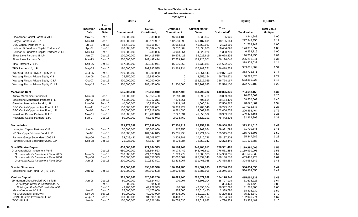|                                                                   |                   |                           | Mar-17                   | Α                                  |                                      | в                              | C                                        | =(B+C)                   | $=(B+C)/A$                            |
|-------------------------------------------------------------------|-------------------|---------------------------|--------------------------|------------------------------------|--------------------------------------|--------------------------------|------------------------------------------|--------------------------|---------------------------------------|
|                                                                   | Inception<br>Date | Last<br>Valuation<br>Date | Commitment               | Amount<br>Contributed <sub>1</sub> | <b>Unfunded</b><br><b>Commitment</b> | <b>Current Market</b><br>Value | <b>Total</b><br>Distributed <sup>2</sup> | <b>Total Value</b>       | <b>Total Value</b><br><b>Multiple</b> |
| Blackstone Capital Partners VII, L.P.                             | $May-15$          | Dec-16                    | 50,000,000               | 3,935,820                          | 46,064,180                           | 3,935,957                      | 5,926                                    | 3,941,883                | 1.00                                  |
| Carlyle Partners VI, L.P.                                         | <b>Nov-13</b>     | Sep-16                    | 300,000,000              | 205,179,937                        | 112,530,690                          | 179,187,691                    | 48,155,664                               | 227,343,355              | 1.11                                  |
| CVC Capital Partners VI, LP                                       | $Jul-13$          | Dec-16                    | 82,440,013               | 48,616,807                         | 35,983,611                           | 49,559,983                     | 2,173,166                                | 51,733,149               | 1.06                                  |
| Hellman & Friedman Capital Partners VI                            | Apr-07            | Dec-16                    | 100,000,000              | 96,602,483                         | 3,232,369                            | 19,893,030                     | 156,464,028                              | 176,357,057              | 1.83                                  |
| Hellman & Friedman Capital Partners VIII, L.P.                    | <b>Nov-14</b>     | Dec-16                    | 100,000,000              | 6,238,036                          | 94,963,954                           | 4,929,926                      | 1,328,790                                | 6,258,716                | 1.00                                  |
| Silver Lake Partners III, LP                                      | Jan-07            | Dec-16                    | 100,000,000              | 104,416,535                        | 10,675,428                           | 54,025,619                     | 136,678,836                              | 190,704,455              | 1.83                                  |
| <b>Silver Lake Partners IV</b>                                    | Mar-13            | Dec-16                    | 200,000,000              | 149,497,414                        | 77,579,764                           | 139,125,301                    | 66,126,040                               | 205,251,341              | 1.37                                  |
| TPG Partners V. L.P.                                              | Sep-06            | Dec-16                    | 187,500,000              | 256,833,971                        | 16,636,663                           | 63,732,031                     | 254,692,506                              | 318,424,537              | 1.24                                  |
| TPG Partners VI, L.P.                                             | May-08            | Dec-16                    | 180,000,000              | 292,885,585                        | 13,268,234                           | 107,182,751                    | 276,418,558                              | 383,601,309              | 1.31                                  |
| Warburg Pincus Private Equity IX, LP                              | Aug-05            | Dec-16                    | 200,000,000              | 200,000,000                        | $\overline{0}$                       | 23,851,143                     | 329,871,528                              | 353,722,671              | 1.77                                  |
| Warburg Pincus Private Equity VIII                                | Jun-06            | Dec-16                    | 25,750,000               | 26,883,000                         | $\overline{0}$                       | 3,555,154                      | 56,738,671                               | 60,293,825               | 2.24                                  |
| Warburg Pincus Private Equity X, LP                               | Oct-07            | Dec-16                    | 400,000,000              | 400,000,000                        | $\Omega$                             | 196,612,059                    | 386,774,167                              | 583,386,226              | 1.46                                  |
| Warburg Pincus Private Equity XI, LP                              | May-12            | Dec-16                    | 300,000,000              | 288,450,000                        | 31,800,000                           | 290,262,085                    | 82,514,100                               | 372,776,185              | 1.29                                  |
| <b>Mezzanine Debt</b>                                             |                   |                           | 535,000,000              | 570,665,910                        | 80,357,403                           | 143,792,782                    | 640,825,376                              | 784,618,158              | 1.37                                  |
| Audax Mezzanine Partners II                                       | Nov-06            | Sep-16                    | 50,000,000               | 56,053,460                         | 2,113,231                            | 1,595,710                      | 69,039,360                               | 70,635,069               | 1.26                                  |
| Blackstone Mezzanine Partners II, LP                              | Apr-06            | Sep-16                    | 45,000,000               | 40,017,311                         | 7,804,361                            | 405,654                        | 58,164,409                               | 58,570,063               | 1.46                                  |
| Gleacher Mezzanine Fund II, LP                                    | Nov-06            | Sep-16                    | 40,000,000               | 36,823,869                         | 3,413,482                            | 1,066,294                      | 47,556,567                               | 48,622,861               | 1.32                                  |
| GSO Capital Opportunities Fund II, LP                             | <b>Nov-11</b>     | Dec-16                    | 150,000,000              | 138,009,651                        | 50,983,929                           | 90,783,546                     | 86,249,102                               | 177,032,648              | 1.28                                  |
| GSO Capital Opportunities Fund, L.P.                              | $Jul-08$          | Sep-16                    | 100,000,000              | 120,218,859                        | 6,281,096                            | 4,063,886                      | 202,404,578                              | 206,468,464              | 1.72                                  |
| Newstone Capital Partners II, L.P.                                | May-11            | Dec-16                    | 100,000,000              | 116,200,818                        | 7,727,534                            | 41,355,502                     | 98,969,153                               | 140,324,655              | 1.21                                  |
| Newstone Capital Partners, L.P.                                   | Feb-07            | Dec-16                    | 50,000,000               | 63,341,942                         | 2,033,769                            | 4,522,191                      | 78,442,208                               | 82,964,399               | 1.31                                  |
| <b>Secondaries</b>                                                |                   |                           | 279,273,539              | 275,292,009                        | 27,330,919                           | 66,953,236                     | 326,958,280                              | 393,911,516              | 1.43                                  |
| Lexington Capital Partners VI-B                                   | Jun-06            | Dec-16                    | 50,000,000               | 50,705,969                         | 817,356                              | 11,769,054                     | 59,931,792                               | 71,700,846               | 1.41                                  |
| NB Sec Opps Offshore Fund II LP                                   | Jul-08            | Dec-16                    | 100,000,000              | 104,044,815                        | 15,205,998                           | 26,221,054                     | 129,515,839                              | 155,736,893              | 1.50                                  |
| Partners Group Secondary 2006 LP                                  | Sep-06            | Dec-16                    | 54,038,441               | 53,008,507                         | 3,203,281                            | 10,210,786                     | 55,137,203                               | 65,347,989               | 1.23                                  |
| Partners Group Secondary 2008, L.P.                               | Sep-08            | Dec-16                    | 75,235,099               | 67,532,719                         | 8,104,284                            | 18,752,342                     | 82,373,446                               | 101,125,788              | 1.50                                  |
| <b>Small/Midsize Buyout</b>                                       |                   |                           | 650,000,000              | 721,864,523                        | 46,174,449                           | 343,408,611                    | 776,581,485                              | 1,119,990,095            | 1.55                                  |
| Grosvenor/NJDI Investment Fund                                    |                   | Dec-16                    | 650,000,000              | 721,864,523                        | 46,174,449                           | 343,408,611                    | 776,581,485                              | 1,119,990,095            | 1.55                                  |
| Grosvenor/NJDI Investment Fund 2005                               | Nov-05            | Dec-16                    | 200,000,000              | 224,175,328                        | 1,693,779                            | 86,608,375                     | 264,956,655                              | 351,565,030              | 1.57                                  |
| Grosvenor/NJDI Investment Fund 2006                               | Sep-06            | Dec-16                    | 250,000,000              | 287,156,393                        | 12,062,604                           | 125,334,148                    | 338,136,576                              | 463,470,723              | 1.61                                  |
| Grosvenor/NJDI Investment Fund 2008                               | Jun-08            | Dec-16                    | 200,000,000              | 210,532,801                        | 32,418,067                           | 131,466,088                    | 173,488,254                              | 304,954,342              | 1.45                                  |
| <b>Special Situations</b>                                         |                   |                           | 330,000,000              | 398,860,598                        | 190,904,486                          | 291,587,995                    | 295,246,555                              | 586,834,550              | 1.47                                  |
| Blackstone TOP Fund - A (PE) L.P.                                 | $Jan-12$          | Dec-16                    | 330,000,000              | 398,860,598                        | 190,904,486                          | 291,587,995                    | 295,246,555                              | 586,834,550              | 1.47                                  |
| <b>Venture Capital</b>                                            |                   |                           | 365,000,000              | 320,640,206                        | 76,029,446                           | 290,871,992                    | 184,178,940                              | 475,050,932              | 1.48                                  |
| JP Morgan Direct/Pooled VC Instit III                             | Jun-06            | Dec-16                    | 50,000,000               | 49,624,643                         | 170,007                              | 42,896,104                     | 38,707,119                               | 81,603,223               | 1.64                                  |
| JP Morgan Direct VC Institutional III                             |                   | Dec-16                    | 600,000                  | 394,650                            | $\Omega$                             | 0                              | 324,423                                  | 324,423                  | 0.82                                  |
| JP Morgan Pooled VC Institutional III<br>Khosla Venutres IV, L.P. | $Jan-12$          | Dec-16<br>Dec-16          | 49,400,000<br>25,000,000 | 49,229,993<br>24,175,000           | 170,007<br>825,000                   | 42,896,104<br>36,015,450       | 38,382,696<br>2,389,780                  | 81,278,800<br>38,405,230 | 1.65<br>1.59                          |
| NB Crossroads Fund XVIII                                          | Nov-06            | Sep-16                    | 50,000,000               | 42,000,000                         | 39,875,002                           | 32,012,787                     | 43,200,562                               | 75,213,349               | 1.79                                  |
| NB/NJ Custom Investment Fund                                      | Aug-07            | Sep-16                    | 100,000,000              | 91,596,190                         | 8,403,810                            | 57,792,154                     | 95,154,620                               | 152,946,774              | 1.67                                  |
| TCV VIII, L.P.                                                    | Jan-14            | Dec-16                    | 100,000,000              | 80,221,370                         | 19,778,630                           | 88,611,622                     | 4,726,859                                | 93,338,481               | 1.16                                  |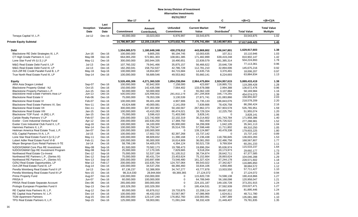#### **03/31/2017**

|                                                                       |                           |                  | Mar-17                     | А                          |                          | B                        | C                          | $=(B+C)$                   | $=(B+C)/A$         |
|-----------------------------------------------------------------------|---------------------------|------------------|----------------------------|----------------------------|--------------------------|--------------------------|----------------------------|----------------------------|--------------------|
|                                                                       |                           | Last             |                            |                            |                          |                          |                            |                            |                    |
|                                                                       | Inception                 | Valuation        |                            | Amount                     | <b>Unfunded</b>          | <b>Current Market</b>    | <b>Total</b>               |                            | <b>Total Value</b> |
|                                                                       | Date                      | <b>Date</b>      | <b>Commitment</b>          | Contributed <sub>1</sub>   | <b>Commitment</b>        | Value                    | Distributed <sup>2</sup>   | <b>Total Value</b>         | <b>Multiple</b>    |
| Tenaya Capital VI, L.P.                                               | $Jul-12$                  | Dec-16           | 40.000.000                 | 33,023,003                 | 6,976,997                | 33,543,875               | $\overline{0}$             | 33,543,875                 | 1.02               |
| Private Equity Subtotal                                               |                           |                  | 14,786,907,367             | 12,155,119,874             | 4,373,632,761            | 7,476,741,494            | 10,140,907,931             | 17,617,649,425             | <u>1.45</u>        |
|                                                                       |                           |                  |                            |                            |                          |                          |                            |                            |                    |
| Debt                                                                  |                           |                  | 1,554,085,573              | 1,180,649,348              | 430,278,012              | 443,869,802              | 1,186,047,801              | 1,629,917,603              | 1.38               |
| Blackstone RE Debt Strategies III, L.P.                               | Jun-16                    | Dec-16           | 100,000,000                | 9,805,255                  | 90,194,745               | 10,003,635               | 107,311                    | 10,110,946                 | 1.03               |
| CT High Grade Partners II, LLC                                        | May-08                    | Dec-16           | 664,065,200                | 572,861,303                | 108,661,385              | 171,482,899              | 639,419,248                | 810,902,147                | 1.42               |
| Lone Star Fund VII (U.S.) LP                                          | May-11                    | Dec-16           | 300,000,000                | 283,944,335                | 18,490,651               | 22,839,579               | 481,385,314                | 504,224,893                | 1.78               |
| M&G Real Estate Debt Fund II, LP                                      | $Jul-13$                  | Dec-16           | 107,760,332                | 79,941,466                 | 35,875,157               | 56,466,622               | 20,646,739                 | 77,113,361                 | 0.96               |
| M&G Real Estate Debt Fund III, LP                                     | $Jul-13$                  | Dec-16           | 182,260,041                | 158,752,637                | 42,786,728               | 112,781,210              | 32,894,006                 | 145,675,216                | 0.92               |
| Och-Ziff RE Credit Parallel Fund B, L.P                               | $May-16$                  | Sep-16           | 100,000,000                | 18,654,807                 | 84,715,684               | 14,635,716               | 3,370,491                  | 18,006,207                 | 0.97               |
| True North Real Estate Fund III, LP                                   | Sep-14                    | Dec-16           | 100,000,000                | 56,689,546                 | 49,553,662               | 55,660,141               | 8,224,693                  | 63,884,834                 | 1.13               |
| <b>Equity</b>                                                         |                           |                  | 5,526,495,306              | 4,271,360,528              | 1,854,238,094            | 2,964,475,804            | 2,924,957,615              | 5,889,433,419              | 1.38               |
| ARA Asia Dragon Limited                                               | Sep-07                    | Dec-16           | 100,000,000                | 92,842,000                 | 7,158,000                | 423,697                  | 118,865,731                | 119,289,428                | 1.28               |
| Blackstone Property Global - NJ                                       | $Oct-15$                  | $Dec-16$         | 150,000,000                | 142,435,598                | 7,564,402                | 133,678,088              | 2,994,388                  | 136,672,476                | 0.96               |
| Blackstone Property Partners L.P.                                     | Jun-15                    | $Dec-16$         | 50,000,000                 | 50,000,000                 | $\Omega$                 | 55,062,100               | 3,107,884                  | 58,169,984                 | 1.16               |
| Blackstone Real Estate Partners Asia LP                               | $Jun-13$                  | Dec-16           | 500,000,000                | 326,498,602                | 281,832,278              | 287,294,808              | 166,779,265                | 454.074.073<br>158,955,607 | 1.39<br>2.03       |
| <b>Blackstone Real Estate V</b>                                       | Feb-06                    | Dec-16           | 75,000,000                 | 78,353,336                 | 3,130,539                | 27,871,741               | 131,083,866                |                            |                    |
| <b>Blackstone Real Estate VI</b>                                      | Feb-07                    | Dec-16           | 100,000,000                | 99,401,438                 | 4,907,906                | 31,735,133               | 186,843,076                | 218,578,209                | 2.20               |
| Blackstone Real Estate Partners VI, Sec                               | <b>Nov-11</b>             | Dec-16           | 43,624,688                 | 40,000,081                 | 2,141,059                | 7,839,666                | 78,426,758                 | 86,266,424                 | 2.16               |
| <b>Blackstone Real Estate VII</b>                                     | Dec-11                    | Dec-16           | 300,000,000                | 337,302,902                | 50,160,567               | 267,862,373              | 267,903,578                | 535,765,951                | 1.59               |
| <b>Blackstone Real Estate VIII</b>                                    | Jan-15                    | Dec-16           | 100,000,000                | 43,410,283                 | 66,474,021               | 39,729,324               | 12,225,750                 | 51,955,074                 | 1.20               |
| Blackstone TOP Fund - A (RE) L.P.                                     | Jan-15                    | Dec-16           | 75,000,000                 | 3,596,410                  | 71,403,590               | 3,828,141                | $\Omega$                   | 3,828,141                  | 1.06               |
| Carlyle Realty Partners V LP<br>Exeter - Core Industrial Venture Fund | Feb-07<br>Apr-12          | Dec-16<br>Dec-16 | 100,000,000<br>200,000,000 | 122,742,600<br>182,630,250 | 22,102,319<br>17,369,750 | 30,214,602<br>562,459    | 141,743,784<br>276,726,522 | 171,958,386                | 1.40               |
| Exeter Core Industrial Club Fund II, L.P.                             | Aug-16                    | Dec-16           | 100,000,000                | 34,100,000                 | 65,900,000               | 34,299,008               | 1,042,105                  | 277,288,981<br>35,341,113  | 1.52<br>1.04       |
| Hammes Partners II, L.P.                                              | Mar-14                    | Dec-16           | 100,000,000                | 65,759,347                 | 35,514,705               | 57,598,448               | 11,711,802                 | 69,310,250                 | 1.05               |
| Heitman America Real Estate Trust, L.P.                               | Jan-07                    | Dec-16           | 100,000,000                | 100,000,000                | $\mathbf 0$              | 139,124,887              | 40,478,338                 | 179,603,225                | 1.80               |
| KSL Capital Partners IV-A, L.P.                                       | $Jul-15$                  | Dec-16           | 100.000.000                | 17,602,732                 | 82,397,268               | 15,737,142               | $\Omega$                   | 15,737,142                 | 0.89               |
| Lone Star Real Estate Fund II (U.S.) LP                               | May-11                    | Dec-16           | 100,000,000                | 88,609,832                 | 11,390,168               | 17,236,438               | 118,766,845                | 136,003,283                | 1.53               |
| Lubert Adler Real Estate Fund VI-B                                    | Feb-11                    | Dec-16           | 100,000,000                | 95,000,000                 | 16,614,909               | 36,081,050               | 132,486,758                | 168,567,807                | 1.77               |
| Meyer Bergman Euro Retail Partners II-TE                              | $Jul-14$                  | Dec-16           | 58,799,199                 | 54,405,076                 | 4,394,124                | 50,521,728               | 9,769,504                  | 60,291,233                 | 1.11               |
| NJDOI/GMAM Core Plus RE Investment                                    | May-08                    | Sep-16           | 81,500,000                 | 70,582,173                 | 19,788,473               | 19,896,264               | 95,636,974                 | 115,533,237                | 1.64               |
| NJDOI/GMAM Opp RE Investment Program                                  | May-08                    | Sep-16           | 25,000,000                 | 17,170,335                 | 7,829,665                | 9,518,204                | 20,173,973                 | 29.692.177                 | 1.73               |
| Northwood Real Estate Co-Invest                                       | Dec-12                    | Sep-16           | 75,000,000                 | 52,537,199                 | 51,105,512               | 38,734,874               | 28,642,711                 | 67,377,585                 | 1.28               |
| Northwood RE Partners L.P., (Series III)                              | Dec-12                    | Sep-16           | 75,000,000                 | 80,431,724                 | 23,453,624               | 75,152,664               | 28,893,624                 | 104,046,288                | 1.29               |
| Northwood RE Partners L.P., (Series IV)                               | <b>Nov-13</b>             | Sep-16           | 200,000,000                | 193,697,698                | 73,546,480               | 161,327,424              | 67,244,178                 | 228,571,602                | 1.18               |
| OZNJ Real Estate Opportunities, LP                                    | Mar-13                    | Feb-17           | 200,000,000                | 102,635,764                | 124,707,064              | 89,543,022               | 27,342,827                 | 116,885,850                | 1.14               |
| Och-Ziff Real Estate Fund III, LP                                     | Aug-14                    | Dec-16           | 100,000,000                | 34,537,256                 | 68,366,460               | 33,834,106               | 4,850,466                  | 38,684,572<br>57,711,427   | 1.12<br>1.10       |
| Perella Weinberg Real Estate Fund II LP                               | $Jul-13$<br><b>Nov-15</b> | Dec-16           | 87,136,237<br>98,314,030   | 52,388,959<br>28,944,664   | 34,747,277<br>69,369,365 | 43,777,878<br>27,124,072 | 13,933,550<br>$\mathbf 0$  |                            |                    |
| Perella Weinberg Real Estate Fund III LP<br>Prime Property Fund       |                           | Dec-16<br>Dec-16 | 130,000,000                | 150,000,000                | 0                        | 115,820,728              | 74,598,138                 | 27,124,072<br>190,418,866  | 0.94<br>1.27       |
| PRISA II                                                              | Aug-07<br><b>Jun-07</b>   | Dec-16           | 60,000,000                 | 100,000,000                | $\mathbf 0$              | 64,789,949               | 56,168,098                 | 120,958,047                | 1.21               |
| PRISA Real Estate Separate Account                                    | Dec-06                    | Dec-16           | 265.000.000                | 300,000,000                | $\mathbf 0$              | 224,101,187              | 149,100,728                | 373,201,915                | 1.24               |
|                                                                       |                           |                  |                            |                            | $\mathbf 0$              |                          |                            | 233,027,471                | 1.27               |
| Prologis European Properties Fund II                                  | Sep-13                    | Dec-16           | 183,329,350                | 183,329,350                |                          | 195,434,531              | 37,592,939                 | 81,895,446                 | 1.24               |
| RE Capital Asia Partners III, L.P.                                    | Aug-12                    | Dec-16           | 80,000,000                 | 65,876,012                 | 19,733,875               | 22,208,114               | 59,687,332                 |                            |                    |
| RE Capital Asia Partners IV, L.P.                                     | Dec-14                    | Dec-16           | 100,000,000                | 46,432,033                 | 53,567,967               | 47,086,969               | 1,624,811                  | 48,711,780                 | 1.05               |
| <b>TGM Apartment Partners</b>                                         | Aug-15                    | Dec-16           | 300,000,000                | 123, 147, 240              | 176,852,760              | 133,083,991              | 1,997,389                  | 135,081,380                | 1.10               |
| TPG Real Estate Partners II, L.P.                                     | Sep-15                    | Dec-16           | 125,000,000                | 59,003,081                 | 71,091,044               | 58,332,428               | 21,449,407                 | 79,781,835                 | 1.35               |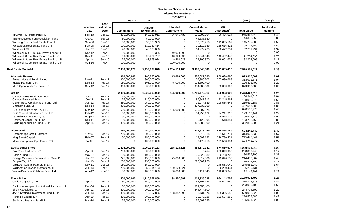|                                              |                   |                                  | Mar-17            | А                                  |                                      | B                              | C                                        | $=(B+C)$           | $=(B+C)/A$                            |
|----------------------------------------------|-------------------|----------------------------------|-------------------|------------------------------------|--------------------------------------|--------------------------------|------------------------------------------|--------------------|---------------------------------------|
|                                              | Inception<br>Date | Last<br>Valuation<br><b>Date</b> | <b>Commitment</b> | Amount<br>Contributed <sub>1</sub> | <b>Unfunded</b><br><b>Commitment</b> | <b>Current Market</b><br>Value | <b>Total</b><br>Distributed <sup>2</sup> | <b>Total Value</b> | <b>Total Value</b><br><b>Multiple</b> |
| TPG/NJ (RE) Partnership, LP                  | Feb-13            | Sep-16                           | 225,000,000       | 165,812,911                        | 86,946,436                           | 159,500,904                    | 86,426,014                               | 245,926,918        | 1.48                                  |
| Tucker Development/Acquisition Fund          | Oct-07            | Sep-16                           | 50,000,000        | 50,000,000                         | $\mathbf 0$                          | 44,338,850                     | $\mathbf 0$                              | 44,338,850         | 0.89                                  |
| Warburg Pincus Real Estate Fund I            | $Sep-06$          | Dec-16                           | 100,000,000       | 95,833,333                         | $\Omega$                             | 33,675,418                     | 113,055,167                              | 146,730,585        | 1.53                                  |
| Westbrook Real Estate Fund VIII              | Feb-08            | Dec-16                           | 100,000,000       | 110,980,414                        | $\Omega$                             | 20,112,359                     | 135,616,521                              | 155,728,880        | 1.40                                  |
| Westbrook VII                                | Jan-07            | Dec-16                           | 40,000,000        | 40,000,000                         | $\Omega$                             | 14,279,263                     | 38,472,731                               | 52,751,994         | 1.32                                  |
| Wheelock SREF NJ CO-Invest Feeder, LP        | <b>Nov-12</b>     | N/A                              | 50,000,000        | 26,305                             | 49,973,695                           | $\mathbf 0$                    | $\overline{0}$                           | $\mathbf 0$        | 0.00                                  |
| Wheelock Street Real Estate Fund, L.P.       | Dec-11            | Sep-16                           | 100,000,000       | 96,274,787                         | 18,620,096                           | 28,241,948                     | 143,492,445                              | 171,734,393        | 1.78                                  |
| Wheelock Street Real Estate Fund II, L.P.    | Apr-14            | Sep-16                           | 125,000,000       | 82,859,074                         | 49,460,623                           | 74,200,970                     | 18,001,638                               | 92,202,608         | 1.11                                  |
| Wheelock Street Real Estate Fund V, L.P      | Aug-16            | N/A                              | 100,000,000       | $\mathbf 0$                        | 100,000,000                          | $\Omega$                       | $\Omega$                                 | $\mathbf 0$        | 0.00                                  |
|                                              |                   |                                  |                   |                                    |                                      |                                |                                          |                    |                                       |
| Real Estate Subtotal                         |                   |                                  | 7,080,580,879     | 5,452,009,876                      | 2,284,516,106                        | 3,408,345,606                  | 4,111,005,416                            | 7,519,351,022      | 1.38                                  |
| <b>Absolute Return</b>                       |                   |                                  | 810,000,000       | 765,000,000                        | 45,000,000                           | 586,621,633                    | 232,690,668                              | 819,312,301        | 1.07                                  |
| Brevan Howard Fund Limited                   | <b>Nov-11</b>     | Feb-17                           | 300,000,000       | 300,000,000                        | $\mathbf 0$                          | 105,380,703                    | 207,690,668                              | 313,071,371        | 1.04                                  |
| Iguazu Partners, L.P.                        | $Dec-13$          | Feb-17                           | 150,000,000       | 105,000,000                        | 45,000,000                           | 126,302,400                    | $\Omega$                                 | 126,302,400        | 1.20                                  |
| MKP Opportunity Partners, L.P.               | Sep-12            | Feb-17                           | 360,000,000       | 360,000,000                        | $\Omega$                             | 354,938,530                    | 25,000,000                               | 379,938,530        | 1.06                                  |
| <b>Credit</b>                                |                   |                                  | 2,050,000,000     | 1,925,000,000                      | 125,000,000                          | 1,759,470,016                  | 666,953,002                              | 2,426,423,018      | 1.26                                  |
| Canyon Value Realization Fund                | Jun-07            | Feb-17                           | 75,000,000        | 75,000,000                         | $\mathbf 0$                          | 70,547,572                     | 67,794,245                               | 138,341,816        | 1.84                                  |
| Canyon Balanced Fund                         | Jul-11            | Feb-17                           | 125,000,000       | 125,000,000                        | $\Omega$                             | 95,841,313                     | 92,245,262                               | 188.086.575        | 1.50                                  |
| Claren Road Credit Master Fund, Ltd.         | Jun-12            | Feb-17                           | 250,000,000       | 250,000,000                        | $\Omega$                             | 21,074,539                     | 198,555,648                              | 219,630,187        | 0.88                                  |
| Chatham Fund, LP                             | Dec-14            | Feb-17                           | 300,000,000       | 300,000,000                        | $\Omega$                             | 407,536,200                    | $\overline{0}$                           | 407,536,200        | 1.36                                  |
| GSO Credit Partners - A, L.P.                | Mar-12            | Feb-17                           | 600,000,000       | 475,000,000                        | 125,000,000                          | 690,507,975                    | $\Omega$                                 | 690,507,975        | 1.45                                  |
| GSO Special Situations Fund, L.P.            | Feb-12            | Jan-17                           | 100,000,000       | 100,000,000                        | $\Omega$                             | 104,955,122                    | 24,211,318                               | 129,166,441        | 1.29                                  |
| Lazard Rathmore Fund, Ltd.                   | Aug-12            | $Jun-16$                         | 150,000,000       | 150,000,000                        | $\Omega$                             | $\mathbf 0$                    | 156,528,175                              | 156,528,175        | 1.04                                  |
| Regiment Capital Ltd. Fund                   | Dec-11            | Feb-17                           | 150,000,000       | 150,000,000                        | $\mathbf 0$                          | 6,120,395                      | 127,618,354                              | 133,738,750        | 0.89                                  |
| Solus Opportunities Fund 3, LP               | Apr-14            | Feb-17                           | 300,000,000       | 300,000,000                        | $\Omega$                             | 362,886,900                    | $\mathbf 0$                              | 362,886,900        | 1.21                                  |
| <b>Distressed</b>                            |                   |                                  | 350,000,000       | 450,000,000                        | 0                                    | 204,376,259                    | 459,866,189                              | 664,242,448        | 1.48                                  |
| Centerbridge Credit Partners                 | Oct-07            | Feb-17                           | 200,000,000       | 200,000,000                        | $\mathbf 0$                          | 182,510,918                    | 131,517,714                              | 314,028,632        | 1.57                                  |
| King Street Capital                          | Feb-07            | Feb-17                           | 150,000,000       | 150,000,000                        | $\Omega$                             | 18,692,123                     | 226,780,421                              | 245,472,544        | 1.64                                  |
| Marathon Special Opp Fund, LTD               | $Jul-08$          | Feb-17                           | $\mathbf 0$       | 100,000,000                        | $\Omega$                             | 3,173,218                      | 101,568,054                              | 104,741,272        | 1.05                                  |
| <b>Equity Long/ Short</b>                    |                   |                                  | 1,275,000,000     | 1,000,314,183                      | 275,123,621                          | 384,570,942                    | 874,550,677                              | 1,259,121,619      | 1.26                                  |
| Bay Pond Partners, L.P.                      | Apr-12            | Feb-17                           | 200,000,000       | 200,000,000                        | $\mathbf 0$                          | 6,754                          | 233,349,988                              | 233,356,742        | 1.17                                  |
| Cadian Fund, L.P.                            | May-12            | Feb-17                           | 100,000,000       | 100,000,000                        | $\Omega$                             | 99,828,589                     | 30,738,706                               | 130,567,295        | 1.31                                  |
| Omega Overseas Partners Ltd. Class-B         | Jan-07            | Feb-17                           | 225,000,000       | 150,000,000                        | 75,000,000                           | 1,812,306                      | 212,646,556                              | 214,458,862        | 1.43                                  |
| Scopia PX, LLC                               | $Jan-13$          | Feb-17                           | 250,000,000       | 250,000,000                        | $\mathbf 0$                          | 276,809,250                    | $\Omega$                                 | 276,809,250        | 1.11                                  |
| ValueAct Capital Partners II, L.P.           | <b>Nov-11</b>     | Dec-16                           | 150,000,000       | 150,000,000                        | $\Omega$                             | $\Omega$                       | 245,551,049                              | 245,551,049        | 1.64                                  |
| ValueAct Co-Invest International LP          | $Jun-13$          | Dec-16                           | 200,000,000       | 50,314,183                         | 150,123,621                          | $\Omega$                       | 36,230,431                               | 36,230,431         | 0.72                                  |
| Visium Balanced Offshore Fund, Ltd           | Aug-12            | Nov-16                           | 150,000,000       | 100,000,000                        | 50,000,000                           | 6,114,043                      | 116,033,948                              | 122,147,991        | 1.22                                  |
| <b>Event Driven</b>                          |                   |                                  | 1,400,000,000     | 1,710,557,856                      | 198,357,692                          | 1,214,935,038                  | 964,143,754                              | 2,179,078,792      | 1.27                                  |
| Cevian Capital II, L.P.                      | Apr-12            | Feb-17                           | 150,000,000       | 150,000,000                        | 0                                    | 187,101,136                    | 28,627,680                               | 215,728,816        | 1.44                                  |
| Davidson Kempner Institutional Partners, L.P | Dec-06            | Feb-17                           | 150,000,000       | 150,000,000                        | $\mathbf 0$                          | 253,055,400                    | $\mathbf 0$                              | 253,055,400        | 1.69                                  |
| Elliott Associates, L.P.                     | Apr-12            | Dec-16                           | 200,000,000       | 200,000,000                        | $\Omega$                             | 244,774,800                    | $\Omega$                                 | 244,774,800        | 1.22                                  |
| JANA Strategic Investment Fund II, LP        | $Jun-13$          | Feb-17                           | 300,000,000       | 610,557,856                        | 198,357,692                          | 113,731,376                    | 525,356,652                              | 639,088,029        | 1.05                                  |
|                                              |                   |                                  |                   |                                    |                                      |                                |                                          | 286,577,586        | 1.43                                  |
| Pershing Square LP                           | Apr-10            | Feb-17                           | 200,000,000       | 200,000,000                        | $\mathbf 0$                          | 55,070,326                     | 231,507,260                              |                    | 1.08                                  |
| Starboard Leaders Fund LP                    | Mar-14            | Feb-17                           | 125,000,000       | 125,000,000                        | $\overline{0}$                       | 135,001,625                    | $\mathbf 0$                              | 135,001,625        |                                       |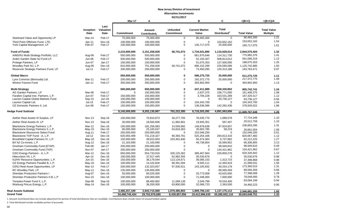#### **03/31/2017**

|                                                                       |                   |                                  | Mar-17                     | А                                  |                                      | в                              | C                                        | $=(B+C)$                  | $=(B+C)/A$                            |
|-----------------------------------------------------------------------|-------------------|----------------------------------|----------------------------|------------------------------------|--------------------------------------|--------------------------------|------------------------------------------|---------------------------|---------------------------------------|
|                                                                       | Inception<br>Date | Last<br><b>Valuation</b><br>Date | <b>Commitment</b>          | Amount<br>Contributed <sub>1</sub> | <b>Unfunded</b><br><b>Commitment</b> | <b>Current Market</b><br>Value | <b>Total</b><br>Distributed <sup>2</sup> | <b>Total Value</b>        | <b>Total Value</b><br><b>Multiple</b> |
| Starboard Value and Opportunity LP                                    | Mar-14            | Feb-17                           | 75,000,000                 | 75,000,000                         | $\mathbf 0$                          | 90,483,300                     | $\Omega$                                 | 90,483,300                | 1.21                                  |
| Third Point Offshore Fund, LTD.<br>York Capital Management, LP        | Apr-11<br>Feb-07  | <b>Nov-16</b><br>Feb-17          | 100.000.000<br>100,000,000 | 100,000,000<br>100,000,000         | $\mathbf 0$<br>$\mathbf 0$           | $\Omega$<br>135,717,075        | 153,652,162<br>25,000,000                | 153,652,162               | 1.54                                  |
|                                                                       |                   |                                  |                            |                                    |                                      |                                |                                          | 160,717,075               | 1.61                                  |
| <b>Fund of Funds</b>                                                  |                   |                                  | 2,210,000,000              | 2,151,258,928                      | 58,741,072                           | 1,734,541,890                  | 1,110,028,514                            | 2,844,570,404             | 1.32                                  |
| AIMS/NJ Multi-Strategy Portfolio, LLC                                 | Aug-06            | Feb-17                           | 550,000,000                | 550,000,000                        | 0                                    | 661,670,646                    | 114,311,730                              | 775,982,376               | 1.41                                  |
| Arden Garden State NJ Fund LP.                                        | Jun-06            | Feb-17                           | 500,000,000                | 500,000,000                        | $\mathbf 0$                          | 52,193,307                     | 508,813,012                              | 561,006,319               | 1.12                                  |
| Protege Partners, LP                                                  | Jun-07            | $Jan-17$                         | 150,000,000                | 150,000,000                        | $\Omega$                             | 51,075,353                     | 137,000,000                              | 188,075,353               | 1.25                                  |
| Woodley Park NJ, L.P.                                                 | Aug-06            | Dec-16                           | 810,000,000                | 751,258,928                        | 58,741,072                           | 896,152,299                    | 229,590,586                              | 1,125,742,885             | 1.50                                  |
| Reservoir Strategic Partners Fund, LP                                 | $Jul-11$          | Feb-17                           | 200,000,000                | 200,000,000                        | $\mathbf 0$                          | 73,450,285                     | 120,313,186                              | 193,763,471               | 0.97                                  |
| <b>Global Macro</b>                                                   |                   |                                  | 550,000,000                | 550,000,000                        | 0                                    | 586,275,725                    | 25,000,000                               | 611,275,725               | 1.11                                  |
| Lynx Common (Bermuda) Ltd.                                            | Mar-11            | Feb-17                           | 200,000,000                | 200,000,000                        | $\overline{0}$                       | 192,372,775                    | 25,000,000                               | 217,372,775               | 1.09                                  |
| <b>Winton Futures Fund</b>                                            | Jan-11            | Feb-17                           | 350,000,000                | 350,000,000                        | $\Omega$                             | 393,902,950                    | $\mathbf 0$                              | 393,902,950               | 1.13                                  |
| <b>Multi-Strategy</b>                                                 |                   |                                  | 500,000,000                | 650,000,000                        | $\bf{0}$                             | 247,411,889                    | 558,330,852                              | 805.742.741               | 1.24                                  |
| AG Garden Partners, LP                                                | Mar-06            | Feb-17                           | $\mathbf 0$                | 150,000,000                        | $\Omega$                             | 2,637,375                      | 158,771,000                              | 161,408,375               | 1.08                                  |
| Farallon Capital Inst. Partners, L.P.                                 | Jun-07            | Feb-17                           | 150,000,000                | 150,000,000                        | $\mathbf 0$                          | 3,794,228                      | 163,531,289                              | 167,325,517               | 1.12                                  |
| Laurion Capital Global Markets Fund                                   | Sep-15            | Jun-16                           | 100,000,000                | 100,000,000                        | 0                                    | $\Omega$                       | 93,736,127                               | 93,736,127                | 0.94                                  |
| Laurion Capital Ltd.                                                  | $Jul-15$          | Feb-17                           | 100,000,000                | 100,000,000                        | $\mathbf 0$                          | 104,343,700                    | $\mathbf 0$                              | 104,343,700               | 1.04                                  |
| OZ Domestic Partners II, Ltd.                                         | Jun-06            | Feb-17                           | 150,000,000                | 150,000,000                        | $\Omega$                             | 136,636,586                    | 142,292,436                              | 278,929,022               | 1.86                                  |
| Hedge Fund Subtotal                                                   |                   |                                  | 9,145,000,000              | 9,202,130,967                      | 702,222,385                          | 6,718,203,392                  | 4,891,563,656                            | 11.609.767.049            | 1.26                                  |
| Aether Real Assets III Surplus, LP                                    | $Nov-13$          | Sep-16                           | 100,000,000                | 70,810,873                         | 30,277,705                           | 76,635,770                     | 1,088,578                                | 77,724,348                | 1.10                                  |
| Aether Real Assets III, LP                                            | $Nov-13$          | Sep-16                           | 30,000,000                 | 18,584,606                         | 11,982,801                           | 19,945,351                     | 567,407                                  | 20,512,758                | 1.10                                  |
| Blackstone Energy Partners, L.P.                                      | Mar-12            | $Dec-16$                         | 150,000,000                | 181,256,083                        | 14,559,992                           | 148,878,638                    | 87,924,657                               | 236,803,295               | 1.31                                  |
| Blackstone Energy Partners II, L.P.                                   | May-15            | Dec-16                           | 80,000,000                 | 25,183,637                         | 54,816,363                           | 26,602,785                     | 58,219                                   | 26,661,004                | 1.06                                  |
| <b>Blackstone Resources Select Fund</b>                               | Aug-11            | Feb-17                           | 250,000,000                | 250,000,000                        | $\mathbf 0$                          | 152,046,250                    | $\mathbf 0$                              | 152,046,250               | 0.61                                  |
| Blackstone TOP Fund - A, L.P.<br>Brookfield Capital Partners IV, L.P. | $Jul-12$          | Dec-16<br>Dec-16                 | 620,093,499                | 731,219,327<br>49,015,003          | 90,393,761<br>103,491,840            | 525,254,166<br>56,474,363      | 294,813,316<br>5,737,862                 | 820,067,482<br>62,212,225 | 1.12<br>1.27                          |
| BX NJ Co-Invest, L.P.                                                 | $May-16$          | Dec-16                           | 150,000,000                | 21,163,690                         | 0                                    | 49,736,854                     | 16,569,952                               | 66,306,805                | 3.13                                  |
| Gresham Commodity Fund (ETAP)                                         | Aug-12<br>Feb-08  | Jan-17                           | 21,163,690<br>200,000,000  | 200,000,000                        | $\mathbf 0$                          | $\mathbf 0$                    | 98,949,810                               | 98,949,810                | 0.49                                  |
| Gresham Commodity Fund (TAP)                                          | Nov-07            | Jan-17                           | 200,000,000                | 200,000,000                        | $\mathbf 0$                          | $\mathbf 0$                    | 134,421,962                              | 134,421,962               | 0.67                                  |
|                                                                       |                   |                                  |                            |                                    |                                      |                                |                                          | 620,326,942               | 1.12                                  |
| GSO Energy Partners - A, L.P.<br>Hitecvision VII, L.P.                | Mar-12<br>Apr-14  | Dec-16<br>Dec-16                 | 650,000,000<br>100,000,000 | 554,733,916<br>37,017,445          | 326,125,362<br>62,982,555            | 389,467,664<br>35,530,676      | 230,859,278<br>$\Omega$                  | 35,530,676                | 0.96                                  |
| NJ/HV Resource Opportunities, L.P.                                    | Jun-15            | Dec-16                           | 150,000,000                | 38,179,044                         | 113,134,671                          | 36,085,153                     | 1,313,715                                | 37,398,868                | 0.98                                  |
| OZ Energy Partners Parallel B, L.P.                                   | May-16            | Dec-16                           | 100,000,000                | 14,102,826                         | 98,391,094                           | 9,505,111                      | 12,493,919                               | 21,999,031                | 1.56                                  |
| OZNJ Real Asset Opportunities, LP                                     | Mar-13            | Feb-17                           | 200,000,000                | 132,323,657                        | 97,930,521                           | 143,105,832                    | 30,254,178                               | 173,360,010               | 1.31                                  |
| RC Woodley Park, LP                                                   | $May-11$          | Dec-16                           | 135,000,000                | 135,000,000                        | $\mathbf 0$                          | $\mathbf 0$                    | 89,569,359                               | 89,569,359                | 0.66                                  |
| <b>Sheridan Production Partners I</b>                                 |                   | Dec-16                           | 50,000,000                 |                                    | $\boldsymbol{0}$                     |                                |                                          | 77,398,008                | 1.28                                  |
| Sheridan Production Partners II-B, L.P                                | Aug-07            | Dec-16                           |                            | 60,525,000                         | $\Omega$                             | 33,773,008                     | 43,625,000                               | 78,048,000                | 0.78                                  |
|                                                                       | <b>Nov-10</b>     |                                  | 100,000,000                | 100,000,000                        |                                      | 71,048,000                     | 7,000,000                                |                           | 0.94                                  |
| Tenaska Power Fund II, L.P.                                           | Sep-08            | Sep-16                           | 100,000,000                | 88,400,862                         | 11,599,138                           | 3,549,799                      | 79,534,400                               | 83,084,199                |                                       |
| Warburg Pincus Energy, L.P.                                           | May-14            | Dec-16                           | 100,000,000                | 36,200,000                         | 63,800,000                           | 32,066,723                     | 2,393,500                                | 34,460,223                | 0.95                                  |
| <b>Real Assets Subtotal</b>                                           |                   |                                  | 3,486,257,189              | 2,943,715,968                      | 1,079,485,803                        | 1,809,706,143                  | 1,137,175,112                            | 2,946,881,255             | 1.00                                  |
| <b>Grand Total</b>                                                    |                   |                                  | 34,498,745,434             | 29,752,976,685                     | 8,439,857,056                        | 19,412,996,635                 | 20,280,652,116                           | 39,693,648,751            | 1.33                                  |

1. Amount Contributed does not include adjustment for portion of total distributions that are recallable. Contributions does include return of unused funded capital.

2. Total distributed include recallable portion of proceeds.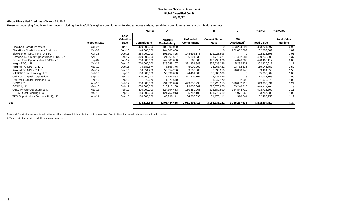#### **New Jersey Division of Investment Global Diversified Credit 03/31/17**

#### **Global Diversified Credit as of March 31, 2017**

Presents underlying fund level information including the Portfolio's original commitments, funded amounts to date, remaining commitments and the distributions to date.

|                       |                           | <b>Mar-17</b>     | A                                  |                                      | в                              | C                                        | $=(B+C)$           | $=(B+C)/A$                                                                                                                                                                                                                               |
|-----------------------|---------------------------|-------------------|------------------------------------|--------------------------------------|--------------------------------|------------------------------------------|--------------------|------------------------------------------------------------------------------------------------------------------------------------------------------------------------------------------------------------------------------------------|
| <b>Inception Date</b> | Last<br>Valuation<br>Date | <b>Commitment</b> | Amount<br>Contributed <sub>1</sub> | <b>Unfunded</b><br><b>Commitment</b> | <b>Current Market</b><br>Value | <b>Total</b><br>Distributed <sup>2</sup> | <b>Total Value</b> | <b>Total Value</b><br><b>Multiple</b>                                                                                                                                                                                                    |
| Oct-07                | Jun-16                    | 400,000,000       | 400,000,000                        |                                      | 0                              | 383,224,897                              |                    | 0.96                                                                                                                                                                                                                                     |
| $Oct-09$              | $Jun-16$                  | 144,000,000       | 144,000,000                        |                                      |                                | 262,082,589                              |                    | 1.82                                                                                                                                                                                                                                     |
| Apr-16                | Dec-16                    | 250,000,000       | 101,301,825                        | 148,698,175                          | 102,225,596                    | 0                                        |                    | 1.01                                                                                                                                                                                                                                     |
| Apr-12                | Feb-17                    | 300,000,000       | 321,268,657                        | 86,194,030                           | 331,770,321                    | 107,462,687                              |                    | 1.37                                                                                                                                                                                                                                     |
| Sep-07                | Jan-17                    | 250,000,000       | 249,500,000                        | 500,000                              | 493,790,026                    | 4,676,086                                |                    | 2.00                                                                                                                                                                                                                                     |
| $Oct-14$              | Dec-16                    | 700,000,000       | 328,048,157                        | 371,951,843                          | 357,638,286                    | 5,282,331                                |                    | 1.11                                                                                                                                                                                                                                     |
| Mar-12                | Dec-16                    | 70,382,674        | 78,556,376                         | 5,000,000                            | 25,263,422                     | 93,782,335                               |                    | 1.52                                                                                                                                                                                                                                     |
| Mar-12                | Dec-16                    | 59,054,236        | 55,554,236                         | 3,500,000                            | 6,836,210                      | 76,658,143                               |                    | 1.50                                                                                                                                                                                                                                     |
| Feb-16                | Sep-16                    | 150,000,000       | 55,539,000                         | 94,461,000                           | 55,806,309                     | 0                                        |                    | 1.00                                                                                                                                                                                                                                     |
| Sep-16                | Dec-16                    | 400,000,000       | 72,194,833                         | 327,805,167                          | 72,132,096                     | 13                                       |                    | 1.00                                                                                                                                                                                                                                     |
| Sep-16                | Sep-16                    | 1,079,670         | 1,079,670                          |                                      | 1,047,170                      | 32,500                                   |                    | 1.00                                                                                                                                                                                                                                     |
| Apr-10                | Feb-17                    | 350,000,000       | 291,031,826                        | 449,650,290                          | 553,220,915                    | 390,682,116                              | 943,903,031        | 3.24                                                                                                                                                                                                                                     |
| Mar-13                | Feb-17                    | 650,000,000       | 510,218,268                        | 173,030,647                          | 596,570,850                    | 33,248,915                               |                    | 1.23                                                                                                                                                                                                                                     |
| Mar-13                | Feb-17                    | 400,000,000       | 624,394,653                        | 160,450,066                          | 308,880,590                    | 384,844,719                              |                    | 1.11                                                                                                                                                                                                                                     |
| Mar-15                | Sep-16                    | 150,000,000       | 121,757,913                        | 35,757,100                           | 101,776,319                    | 21,971,562                               |                    | 1.02                                                                                                                                                                                                                                     |
| Apr-14                | Dec-16                    | 100,000,000       | 46,999,241                         | 54,305,095                           | 51,178,111                     | 1,318,644                                |                    | 1.12                                                                                                                                                                                                                                     |
|                       |                           | 4,374,516,580     | 3,401,444,655                      | 1,911,303,413                        | 3,058,136,221                  | 1,765,267,536                            |                    | 1.42                                                                                                                                                                                                                                     |
|                       |                           |                   |                                    |                                      |                                |                                          |                    | 383,224,897<br>262,082,589<br>102,225,596<br>439,233,008<br>498,466,112<br>362,920,617<br>119,045,757<br>83,494,353<br>55,806,309<br>72,132,109<br>1,079,670<br>629,819,764<br>693,725,309<br>123,747,880<br>52,496,755<br>4,823,403,757 |

1. Amount Contributed does not include adjustment for portion of total distributions that are recallable. Contributions does include return of unused funded capital.

2. Total distributed include recallable portion of proceeds.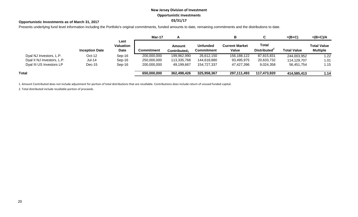# **New Jersey Division of Investment Opportunistic Investments**

## **03/31/17 Opportunistic Investments as of March 31, 2017**

Presents underlying fund level information including the Portfolio's original commitments, funded amounts to date, remaining commitments and the distributions to date.

|                            |                       |                           | Mar-17      | <u>гч</u>                          |                                      | в                              |                                          | $=(B+C)$           | $=(B+C)/A$                            |
|----------------------------|-----------------------|---------------------------|-------------|------------------------------------|--------------------------------------|--------------------------------|------------------------------------------|--------------------|---------------------------------------|
|                            | <b>Inception Date</b> | Last<br>Valuation<br>Date | Commitment  | Amount<br>Contributed <sub>1</sub> | <b>Unfunded</b><br><b>Commitment</b> | <b>Current Market</b><br>Value | <b>Total</b><br>Distributed <sup>2</sup> | <b>Total Value</b> | <b>Total Value</b><br><b>Multiple</b> |
| Dyal NJ Investors, L.P.    | $Oct-12$              | Sep-16                    | 200,000,000 | 199,962,990                        | 26,612,150                           | 156,188,122                    | 87,815,831                               | 244,003,952        | 1.22                                  |
| Dyal II NJ Investors, L.P. | <b>Jul-14</b>         | Sep-16                    | 250,000,000 | 113,335,768                        | 144,618,880                          | 93,495,975                     | 20,633,732                               | 114,129,707        | 1.01                                  |
| Dyal III US Investors LP   | $Dec-15$              | Sep-16                    | 200,000,000 | 49,199,667                         | 154,727,337                          | 47,427,396                     | 9,024,358                                | 56,451,754         | 1.15                                  |
| Total                      |                       |                           | 650,000,000 | 362,498,426                        | 325,958,367                          | 297,111,493                    | 117,473,920                              | 414,585,413        | 1.14                                  |

1. Amount Contributed does not include adjustment for portion of total distributions that are recallable. Contributions does include return of unused funded capital.

2. Total distributed include recallable portion of proceeds.